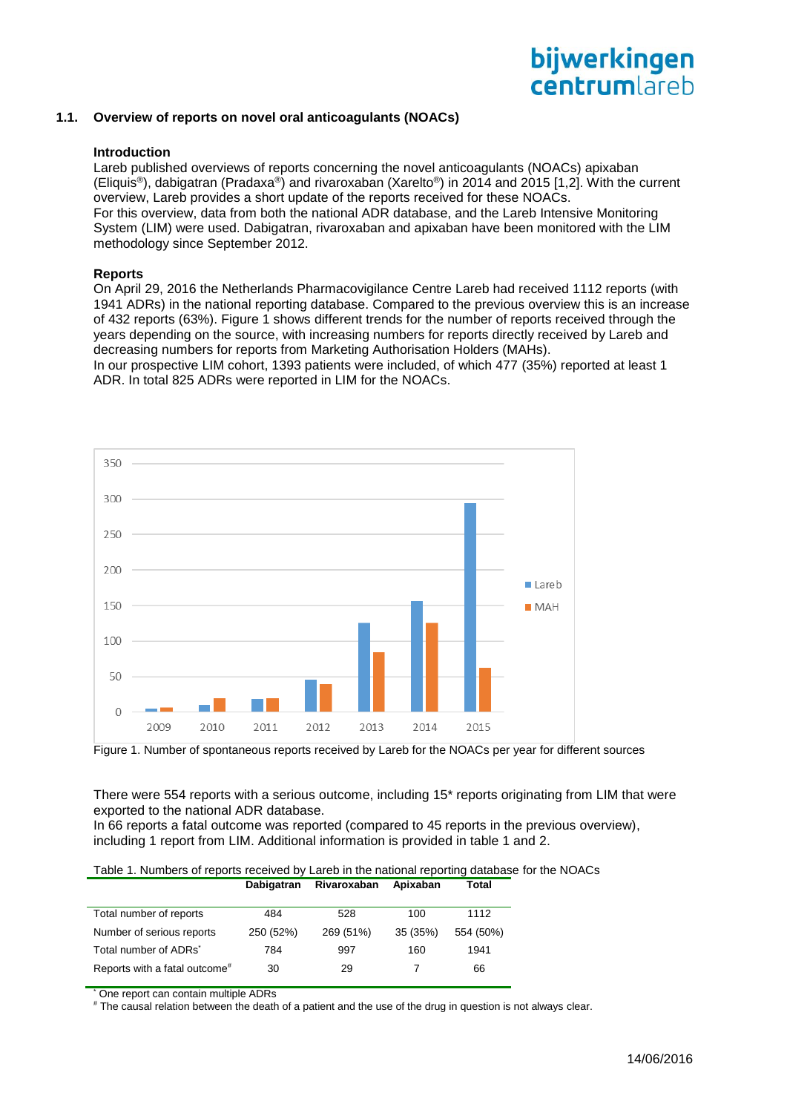# bijwerkingen centrumlareb

## **1.1. Overview of reports on novel oral anticoagulants (NOACs)**

#### **Introduction**

Lareb published overviews of reports concerning the novel anticoagulants (NOACs) apixaban (Eliquis®), dabigatran (Pradaxa®) and rivaroxaban (Xarelto®) in 2014 and 2015 [1,2]. With the current overview, Lareb provides a short update of the reports received for these NOACs. For this overview, data from both the national ADR database, and the Lareb Intensive Monitoring System (LIM) were used. Dabigatran, rivaroxaban and apixaban have been monitored with the LIM methodology since September 2012.

#### **Reports**

On April 29, 2016 the Netherlands Pharmacovigilance Centre Lareb had received 1112 reports (with 1941 ADRs) in the national reporting database. Compared to the previous overview this is an increase of 432 reports (63%). Figure 1 shows different trends for the number of reports received through the years depending on the source, with increasing numbers for reports directly received by Lareb and decreasing numbers for reports from Marketing Authorisation Holders (MAHs).

In our prospective LIM cohort, 1393 patients were included, of which 477 (35%) reported at least 1 ADR. In total 825 ADRs were reported in LIM for the NOACs.



Figure 1. Number of spontaneous reports received by Lareb for the NOACs per year for different sources

There were 554 reports with a serious outcome, including 15\* reports originating from LIM that were exported to the national ADR database.

In 66 reports a fatal outcome was reported (compared to 45 reports in the previous overview), including 1 report from LIM. Additional information is provided in table 1 and 2.

| Table 1. Numbers of reports received by Lareb in the national reporting database for the NOACs |  |                                 |       |  |
|------------------------------------------------------------------------------------------------|--|---------------------------------|-------|--|
|                                                                                                |  | Dabigatran Rivaroxaban Apixaban | Total |  |

| Total number of reports                   | 484       | 528       | 100      | 1112      |
|-------------------------------------------|-----------|-----------|----------|-----------|
| Number of serious reports                 | 250 (52%) | 269 (51%) | 35 (35%) | 554 (50%) |
| Total number of ADRs <sup>*</sup>         | 784       | 997       | 160      | 1941      |
| Reports with a fatal outcome <sup>#</sup> | 30        | 29        |          | 66        |

One report can contain multiple ADRs

# The causal relation between the death of a patient and the use of the drug in question is not always clear.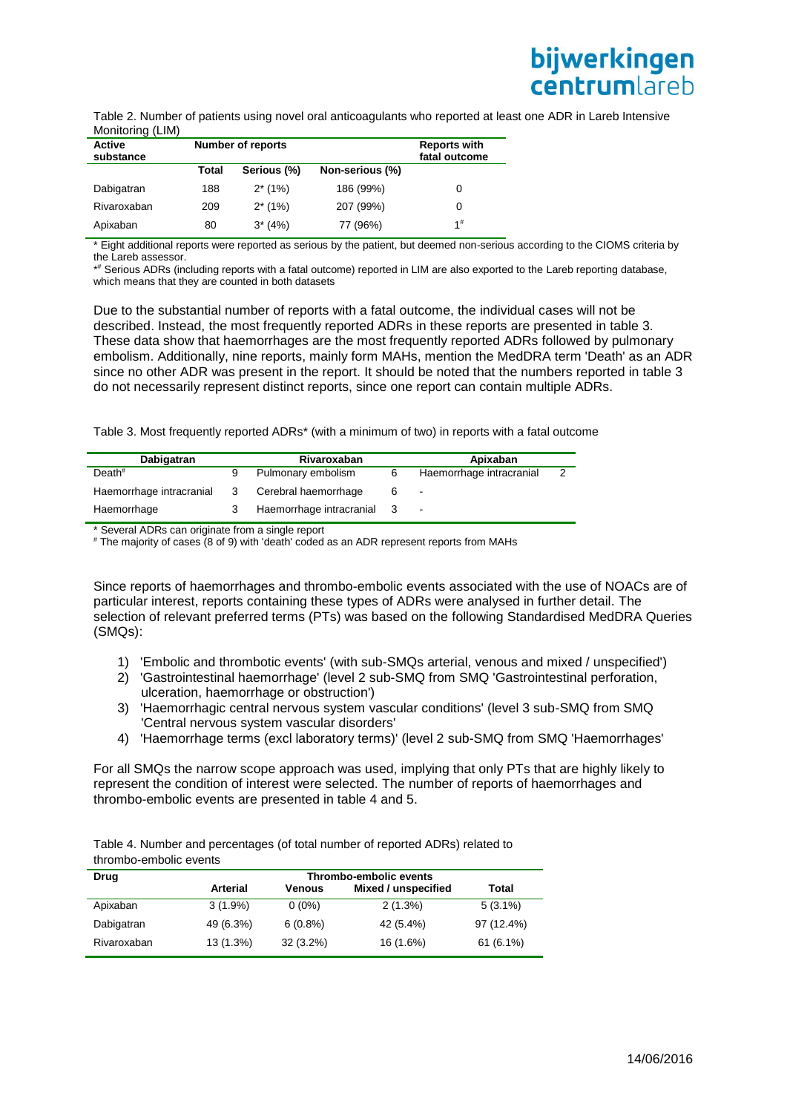Table 2. Number of patients using novel oral anticoagulants who reported at least one ADR in Lareb Intensive Monitoring (LIM)

| Active<br>substance |       | <b>Number of reports</b> |                 | <b>Reports with</b><br>fatal outcome |
|---------------------|-------|--------------------------|-----------------|--------------------------------------|
|                     | Total | Serious (%)              | Non-serious (%) |                                      |
| Dabigatran          | 188   | $2*(1%)$                 | 186 (99%)       | 0                                    |
| Rivaroxaban         | 209   | $2*(1%)$                 | 207 (99%)       | 0                                    |
| Apixaban            | 80    | $3*(4%)$                 | 77 (96%)        | $1^{\#}$                             |

\* Eight additional reports were reported as serious by the patient, but deemed non-serious according to the CIOMS criteria by the Lareb assessor.

\* # Serious ADRs (including reports with a fatal outcome) reported in LIM are also exported to the Lareb reporting database, which means that they are counted in both datasets

Due to the substantial number of reports with a fatal outcome, the individual cases will not be described. Instead, the most frequently reported ADRs in these reports are presented in table 3. These data show that haemorrhages are the most frequently reported ADRs followed by pulmonary embolism. Additionally, nine reports, mainly form MAHs, mention the MedDRA term 'Death' as an ADR since no other ADR was present in the report. It should be noted that the numbers reported in table 3 do not necessarily represent distinct reports, since one report can contain multiple ADRs.

Table 3. Most frequently reported ADRs\* (with a minimum of two) in reports with a fatal outcome

| Dabigatran               |    | Rivaroxaban                |   | Apixaban                 |  |
|--------------------------|----|----------------------------|---|--------------------------|--|
| Death <sup>#</sup>       |    | Pulmonary embolism         | 6 | Haemorrhage intracranial |  |
| Haemorrhage intracranial | -3 | Cerebral haemorrhage       |   | $\sim$                   |  |
| Haemorrhage              |    | Haemorrhage intracranial 3 |   | $\sim 100$               |  |

\* Several ADRs can originate from a single report

# The majority of cases (8 of 9) with 'death' coded as an ADR represent reports from MAHs

Since reports of haemorrhages and thrombo-embolic events associated with the use of NOACs are of particular interest, reports containing these types of ADRs were analysed in further detail. The selection of relevant preferred terms (PTs) was based on the following Standardised MedDRA Queries (SMQs):

- 1) 'Embolic and thrombotic events' (with sub-SMQs arterial, venous and mixed / unspecified')
- 2) 'Gastrointestinal haemorrhage' (level 2 sub-SMQ from SMQ 'Gastrointestinal perforation, ulceration, haemorrhage or obstruction')
- 3) 'Haemorrhagic central nervous system vascular conditions' (level 3 sub-SMQ from SMQ 'Central nervous system vascular disorders'
- 4) 'Haemorrhage terms (excl laboratory terms)' (level 2 sub-SMQ from SMQ 'Haemorrhages'

For all SMQs the narrow scope approach was used, implying that only PTs that are highly likely to represent the condition of interest were selected. The number of reports of haemorrhages and thrombo-embolic events are presented in table 4 and 5.

Table 4. Number and percentages (of total number of reported ADRs) related to thrombo-embolic events

| Drug        |            |             | Thrombo-embolic events |             |
|-------------|------------|-------------|------------------------|-------------|
|             | Arterial   | Venous      | Mixed / unspecified    | Total       |
| Apixaban    | $3(1.9\%)$ | $0(0\%)$    | 2(1.3%)                | $5(3.1\%)$  |
| Dabigatran  | 49 (6.3%)  | $6(0.8\%)$  | 42 (5.4%)              | 97 (12.4%)  |
| Rivaroxaban | 13 (1.3%)  | $32(3.2\%)$ | 16 (1.6%)              | $61(6.1\%)$ |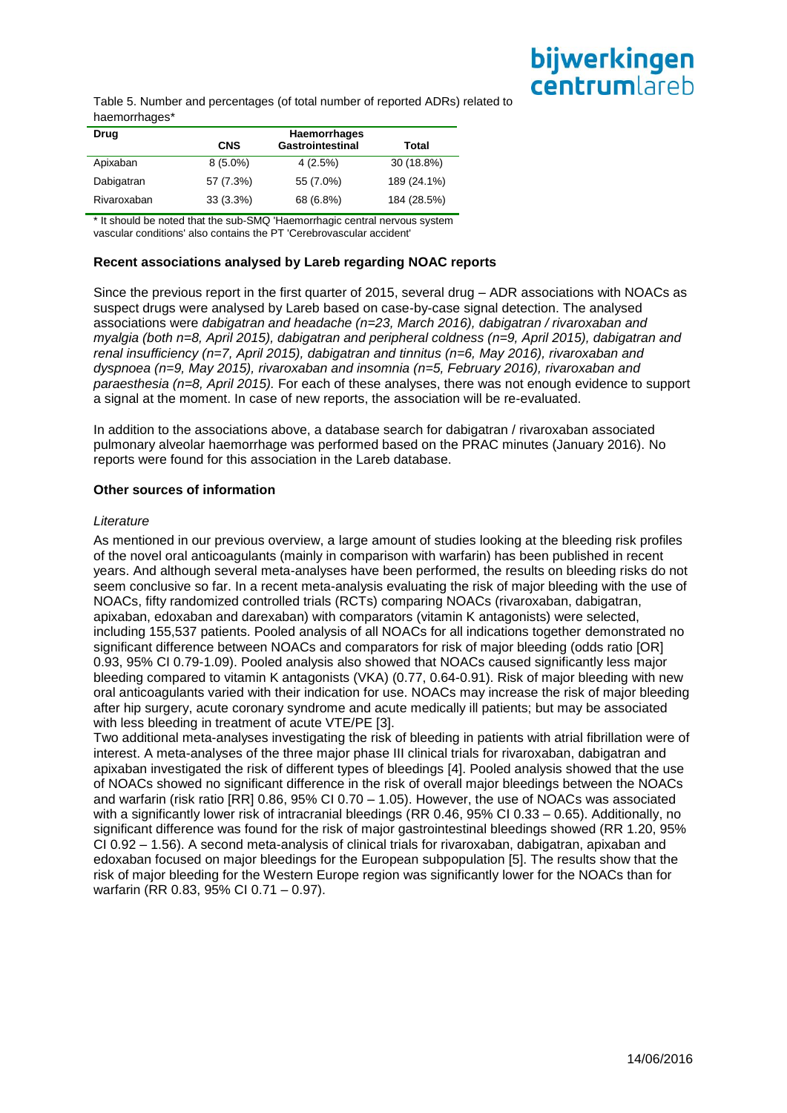# bijwerkingen centrumlareb

Table 5. Number and percentages (of total number of reported ADRs) related to haemorrhages\*

| Drug        |             | Haemorrhages            |             |
|-------------|-------------|-------------------------|-------------|
|             | <b>CNS</b>  | <b>Gastrointestinal</b> | Total       |
| Apixaban    | $8(5.0\%)$  | 4(2.5%)                 | 30 (18.8%)  |
| Dabigatran  | 57 (7.3%)   | 55 (7.0%)               | 189 (24.1%) |
| Rivaroxaban | $33(3.3\%)$ | 68 (6.8%)               | 184 (28.5%) |

\* It should be noted that the sub-SMQ 'Haemorrhagic central nervous system vascular conditions' also contains the PT 'Cerebrovascular accident'

# **Recent associations analysed by Lareb regarding NOAC reports**

Since the previous report in the first quarter of 2015, several drug – ADR associations with NOACs as suspect drugs were analysed by Lareb based on case-by-case signal detection. The analysed associations were *dabigatran and headache (n=23, March 2016), dabigatran / rivaroxaban and myalgia (both n=8, April 2015), dabigatran and peripheral coldness (n=9, April 2015), dabigatran and renal insufficiency (n=7, April 2015), dabigatran and tinnitus (n=6, May 2016), rivaroxaban and dyspnoea (n=9, May 2015), rivaroxaban and insomnia (n=5, February 2016), rivaroxaban and paraesthesia (n=8, April 2015).* For each of these analyses, there was not enough evidence to support a signal at the moment. In case of new reports, the association will be re-evaluated.

In addition to the associations above, a database search for dabigatran / rivaroxaban associated pulmonary alveolar haemorrhage was performed based on the PRAC minutes (January 2016). No reports were found for this association in the Lareb database.

## **Other sources of information**

### *Literature*

As mentioned in our previous overview, a large amount of studies looking at the bleeding risk profiles of the novel oral anticoagulants (mainly in comparison with warfarin) has been published in recent years. And although several meta-analyses have been performed, the results on bleeding risks do not seem conclusive so far. In a recent meta-analysis evaluating the risk of major bleeding with the use of NOACs, fifty randomized controlled trials (RCTs) comparing NOACs (rivaroxaban, dabigatran, apixaban, edoxaban and darexaban) with comparators (vitamin K antagonists) were selected, including 155,537 patients. Pooled analysis of all NOACs for all indications together demonstrated no significant difference between NOACs and comparators for risk of major bleeding (odds ratio [OR] 0.93, 95% CI 0.79-1.09). Pooled analysis also showed that NOACs caused significantly less major bleeding compared to vitamin K antagonists (VKA) (0.77, 0.64-0.91). Risk of major bleeding with new oral anticoagulants varied with their indication for use. NOACs may increase the risk of major bleeding after hip surgery, acute coronary syndrome and acute medically ill patients; but may be associated with less bleeding in treatment of acute VTE/PE [3].

Two additional meta-analyses investigating the risk of bleeding in patients with atrial fibrillation were of interest. A meta-analyses of the three major phase III clinical trials for rivaroxaban, dabigatran and apixaban investigated the risk of different types of bleedings [4]. Pooled analysis showed that the use of NOACs showed no significant difference in the risk of overall major bleedings between the NOACs and warfarin (risk ratio [RR] 0.86, 95% CI 0.70 – 1.05). However, the use of NOACs was associated with a significantly lower risk of intracranial bleedings (RR 0.46, 95% CI 0.33 – 0.65). Additionally, no significant difference was found for the risk of major gastrointestinal bleedings showed (RR 1.20, 95% CI 0.92 – 1.56). A second meta-analysis of clinical trials for rivaroxaban, dabigatran, apixaban and edoxaban focused on major bleedings for the European subpopulation [5]. The results show that the risk of major bleeding for the Western Europe region was significantly lower for the NOACs than for warfarin (RR 0.83, 95% CI 0.71 – 0.97).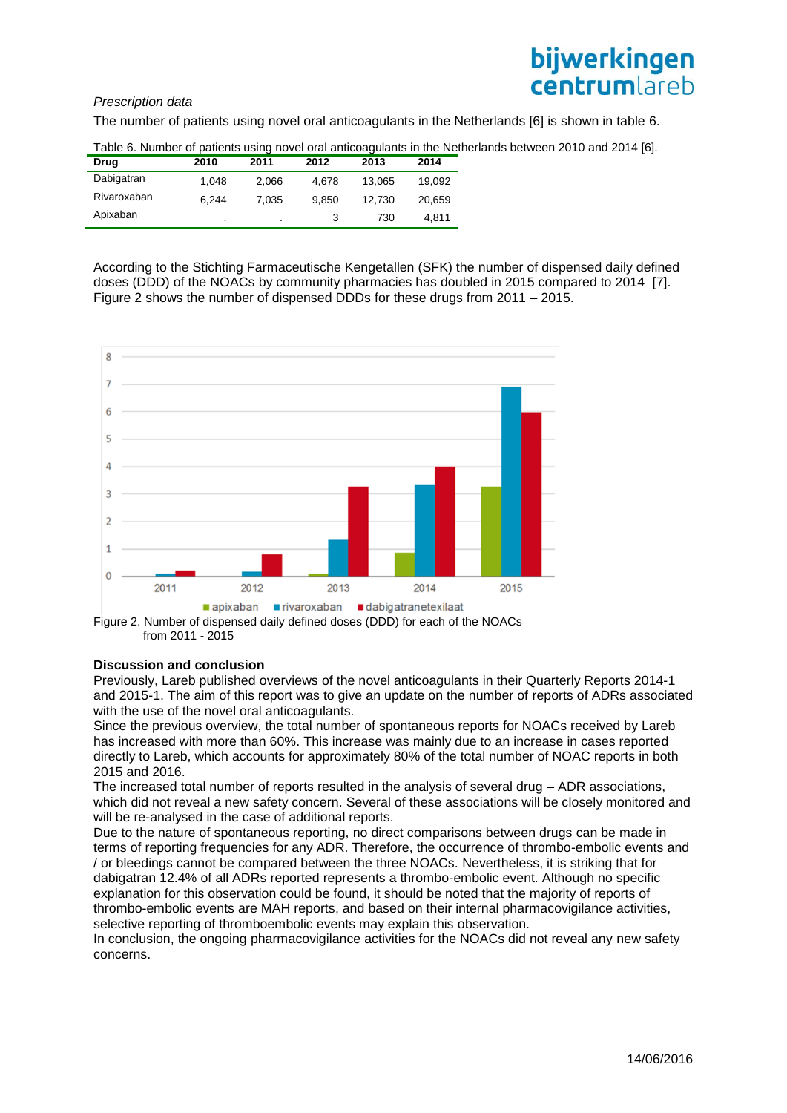# *Prescription data*



The number of patients using novel oral anticoagulants in the Netherlands [6] is shown in table 6.

| Drug        | 2010    | 2011  | 2012  | 2013   | 2014   |
|-------------|---------|-------|-------|--------|--------|
| Dabigatran  | 1.048   | 2.066 | 4.678 | 13.065 | 19.092 |
| Rivaroxaban | 6.244   | 7.035 | 9.850 | 12.730 | 20.659 |
| Apixaban    | $\cdot$ |       |       | 730    | 4.811  |

Table 6. Number of patients using novel oral anticoagulants in the Netherlands between 2010 and 2014 [6].

According to the Stichting Farmaceutische Kengetallen (SFK) the number of dispensed daily defined doses (DDD) of the NOACs by community pharmacies has doubled in 2015 compared to 2014 [7]. Figure 2 shows the number of dispensed DDDs for these drugs from 2011 – 2015.



from 2011 - 2015

### **Discussion and conclusion**

Previously, Lareb published overviews of the novel anticoagulants in their Quarterly Reports 2014-1 and 2015-1. The aim of this report was to give an update on the number of reports of ADRs associated with the use of the novel oral anticoagulants.

Since the previous overview, the total number of spontaneous reports for NOACs received by Lareb has increased with more than 60%. This increase was mainly due to an increase in cases reported directly to Lareb, which accounts for approximately 80% of the total number of NOAC reports in both 2015 and 2016.

The increased total number of reports resulted in the analysis of several drug – ADR associations, which did not reveal a new safety concern. Several of these associations will be closely monitored and will be re-analysed in the case of additional reports.

Due to the nature of spontaneous reporting, no direct comparisons between drugs can be made in terms of reporting frequencies for any ADR. Therefore, the occurrence of thrombo-embolic events and / or bleedings cannot be compared between the three NOACs. Nevertheless, it is striking that for dabigatran 12.4% of all ADRs reported represents a thrombo-embolic event. Although no specific explanation for this observation could be found, it should be noted that the majority of reports of thrombo-embolic events are MAH reports, and based on their internal pharmacovigilance activities, selective reporting of thromboembolic events may explain this observation.

In conclusion, the ongoing pharmacovigilance activities for the NOACs did not reveal any new safety concerns.